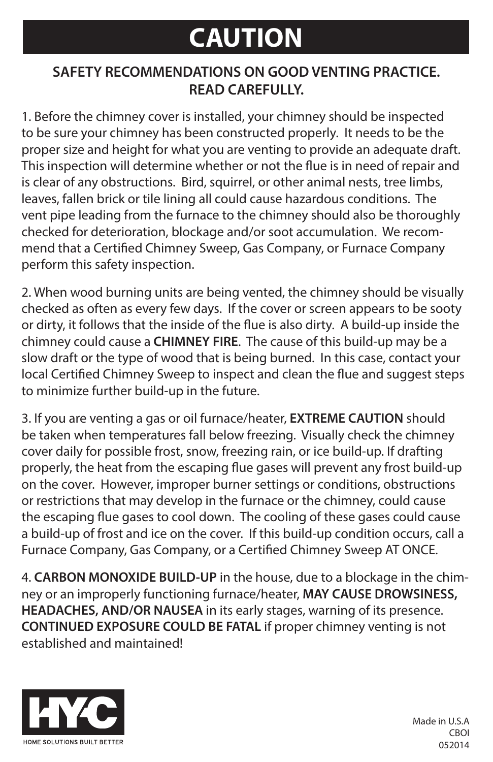# **CAUTION**

### **SAFETY RECOMMENDATIONS ON GOOD VENTING PRACTICE. READ CAREFULLY.**

1. Before the chimney cover is installed, your chimney should be inspected to be sure your chimney has been constructed properly. It needs to be the proper size and height for what you are venting to provide an adequate draft. This inspection will determine whether or not the flue is in need of repair and is clear of any obstructions. Bird, squirrel, or other animal nests, tree limbs, leaves, fallen brick or tile lining all could cause hazardous conditions. The vent pipe leading from the furnace to the chimney should also be thoroughly checked for deterioration, blockage and/or soot accumulation. We recommend that a Certified Chimney Sweep, Gas Company, or Furnace Company perform this safety inspection.

2. When wood burning units are being vented, the chimney should be visually checked as often as every few days. If the cover or screen appears to be sooty or dirty, it follows that the inside of the flue is also dirty. A build-up inside the chimney could cause a **CHIMNEY FIRE**. The cause of this build-up may be a slow draft or the type of wood that is being burned. In this case, contact your local Certified Chimney Sweep to inspect and clean the flue and suggest steps to minimize further build-up in the future.

3. If you are venting a gas or oil furnace/heater, **EXTREME CAUTION** should be taken when temperatures fall below freezing. Visually check the chimney cover daily for possible frost, snow, freezing rain, or ice build-up. If drafting properly, the heat from the escaping flue gases will prevent any frost build-up on the cover. However, improper burner settings or conditions, obstructions or restrictions that may develop in the furnace or the chimney, could cause the escaping flue gases to cool down. The cooling of these gases could cause a build-up of frost and ice on the cover. If this build-up condition occurs, call a Furnace Company, Gas Company, or a Certified Chimney Sweep AT ONCE.

4. **CARBON MONOXIDE BUILD-UP** in the house, due to a blockage in the chimney or an improperly functioning furnace/heater, **MAY CAUSE DROWSINESS, HEADACHES, AND/OR NAUSEA** in its early stages, warning of its presence. **CONTINUED EXPOSURE COULD BE FATAL** if proper chimney venting is not established and maintained!



Made in U.S.A CBOI 052014